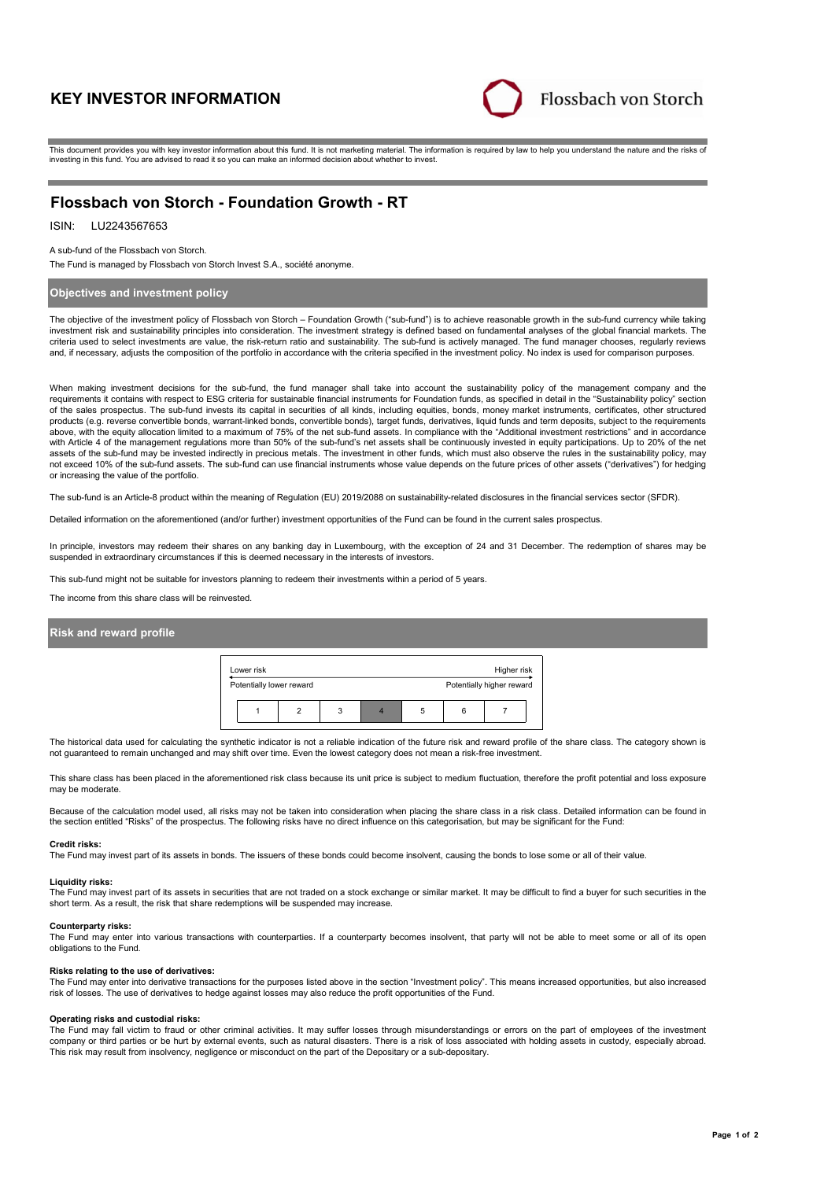# **KEY INVESTOR INFORMATION**



This document provides you with key investor information about this fund. It is not marketing material. The information is required by law to help you understand the nature and the risks of investing in this fund. You are advised to read it so you can make an informed decision about whether to invest.

# **Flossbach von Storch - Foundation Growth - RT**

## ISIN: LU2243567653

#### A sub-fund of the Flossbach von Storch.

The Fund is managed by Flossbach von Storch Invest S.A., société anonyme.

## **Objectives and investment policy**

The objective of the investment policy of Flossbach von Storch – Foundation Growth ("sub-fund") is to achieve reasonable growth in the sub-fund currency while taking investment risk and sustainability principles into consideration. The investment strategy is defined based on fundamental analyses of the global financial markets. The criteria used to select investments are value, the risk-return ratio and sustainability. The sub-fund is actively managed. The fund manager chooses, regularly reviews and, if necessary, adjusts the composition of the portfolio in accordance with the criteria specified in the investment policy. No index is used for comparison purposes.

When making investment decisions for the sub-fund, the fund manager shall take into account the sustainability policy of the management company and the requirements it contains with respect to ESG criteria for sustainable financial instruments for Foundation funds, as specified in detail in the "Sustainability policy" section of the sales prospectus. The sub-fund invests its capital in securities of all kinds, including equities, bonds, money market instruments, certificates, other structured products (e.g. reverse convertible bonds, warrant-linked bonds, convertible bonds), target funds, derivatives, liquid funds and term deposits, subject to the requirements above, with the equity allocation limited to a maximum of 75% of the net sub-fund assets. In compliance with the "Additional investment restrictions" and in accordance with Article 4 of the management regulations more than 50% of the sub-fund's net assets shall be continuously invested in equity participations. Up to 20% of the net assets of the sub-fund may be invested indirectly in precious metals. The investment in other funds, which must also observe the rules in the sustainability policy, may not exceed 10% of the sub-fund assets. The sub-fund can use financial instruments whose value depends on the future prices of other assets ("derivatives") for hedging or increasing the value of the portfolio.

The sub-fund is an Article-8 product within the meaning of Regulation (EU) 2019/2088 on sustainability-related disclosures in the financial services sector (SFDR).

Detailed information on the aforementioned (and/or further) investment opportunities of the Fund can be found in the current sales prospectus.

In principle, investors may redeem their shares on any banking day in Luxembourg, with the exception of 24 and 31 December. The redemption of shares may be suspended in extraordinary circumstances if this is deemed necessary in the interests of investors.

This sub-fund might not be suitable for investors planning to redeem their investments within a period of 5 years.

The income from this share class will be reinvested.

### **Risk and reward profile**



The historical data used for calculating the synthetic indicator is not a reliable indication of the future risk and reward profile of the share class. The category shown is not guaranteed to remain unchanged and may shift over time. Even the lowest category does not mean a risk-free investment.

This share class has been placed in the aforementioned risk class because its unit price is subject to medium fluctuation, therefore the profit potential and loss exposure may be moderate.

Because of the calculation model used, all risks may not be taken into consideration when placing the share class in a risk class. Detailed information can be found in the section entitled "Risks" of the prospectus. The following risks have no direct influence on this categorisation, but may be significant for the Fund:

#### **Credit risks:**

The Fund may invest part of its assets in bonds. The issuers of these bonds could become insolvent, causing the bonds to lose some or all of their value.

## **Liquidity risks:**

The Fund may invest part of its assets in securities that are not traded on a stock exchange or similar market. It may be difficult to find a buyer for such securities in the short term. As a result, the risk that share redemptions will be suspended may increase.

### **Counterparty risks:**

The Fund may enter into various transactions with counterparties. If a counterparty becomes insolvent, that party will not be able to meet some or all of its open obligations to the Fund.

#### **Risks relating to the use of derivatives:**

The Fund may enter into derivative transactions for the purposes listed above in the section "Investment policy". This means increased opportunities, but also increased risk of losses. The use of derivatives to hedge against losses may also reduce the profit opportunities of the Fund.

### **Operating risks and custodial risks:**

The Fund may fall victim to fraud or other criminal activities. It may suffer losses through misunderstandings or errors on the part of employees of the investment company or third parties or be hurt by external events, such as natural disasters. There is a risk of loss associated with holding assets in custody, especially abroad. This risk may result from insolvency, negligence or misconduct on the part of the Depositary or a sub-depositary.